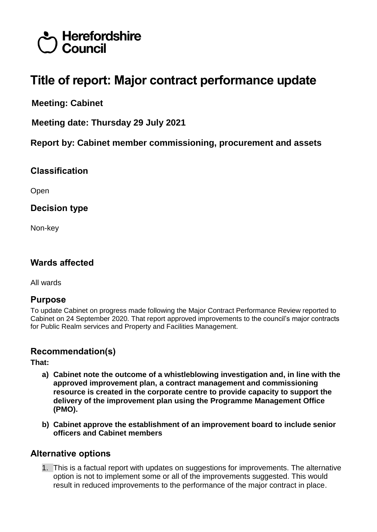# Herefordshire  $\bigcup$  Council

# **Title of report: Major contract performance update**

**Meeting: Cabinet**

**Meeting date: Thursday 29 July 2021**

**Report by: Cabinet member commissioning, procurement and assets**

# **Classification**

Open

# **Decision type**

Non-key

# **Wards affected**

All wards

### **Purpose**

To update Cabinet on progress made following the Major Contract Performance Review reported to Cabinet on 24 September 2020. That report approved improvements to the council's major contracts for Public Realm services and Property and Facilities Management.

# **Recommendation(s)**

**That:**

- **a) Cabinet note the outcome of a whistleblowing investigation and, in line with the approved improvement plan, a contract management and commissioning resource is created in the corporate centre to provide capacity to support the delivery of the improvement plan using the Programme Management Office (PMO).**
- **b) Cabinet approve the establishment of an improvement board to include senior officers and Cabinet members**

# **Alternative options**

1. This is a factual report with updates on suggestions for improvements. The alternative option is not to implement some or all of the improvements suggested. This would result in reduced improvements to the performance of the major contract in place.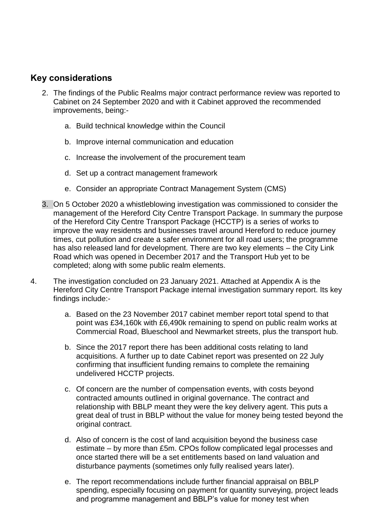# **Key considerations**

- 2. The findings of the Public Realms major contract performance review was reported to Cabinet on 24 September 2020 and with it Cabinet approved the recommended improvements, being:
	- a. Build technical knowledge within the Council
	- b. Improve internal communication and education
	- c. Increase the involvement of the procurement team
	- d. Set up a contract management framework
	- e. Consider an appropriate Contract Management System (CMS)
- 3. On 5 October 2020 a whistleblowing investigation was commissioned to consider the management of the Hereford City Centre Transport Package. In summary the purpose of the Hereford City Centre Transport Package (HCCTP) is a series of works to improve the way residents and businesses travel around Hereford to reduce journey times, cut pollution and create a safer environment for all road users; the programme has also released land for development. There are two key elements – the City Link Road which was opened in December 2017 and the Transport Hub yet to be completed; along with some public realm elements.
- 4. The investigation concluded on 23 January 2021. Attached at Appendix A is the Hereford City Centre Transport Package internal investigation summary report. Its key findings include:
	- a. Based on the 23 November 2017 cabinet member report total spend to that point was £34,160k with £6,490k remaining to spend on public realm works at Commercial Road, Blueschool and Newmarket streets, plus the transport hub.
	- b. Since the 2017 report there has been additional costs relating to land acquisitions. A further up to date Cabinet report was presented on 22 July confirming that insufficient funding remains to complete the remaining undelivered HCCTP projects.
	- c. Of concern are the number of compensation events, with costs beyond contracted amounts outlined in original governance. The contract and relationship with BBLP meant they were the key delivery agent. This puts a great deal of trust in BBLP without the value for money being tested beyond the original contract.
	- d. Also of concern is the cost of land acquisition beyond the business case estimate – by more than £5m. CPOs follow complicated legal processes and once started there will be a set entitlements based on land valuation and disturbance payments (sometimes only fully realised years later).
	- e. The report recommendations include further financial appraisal on BBLP spending, especially focusing on payment for quantity surveying, project leads and programme management and BBLP's value for money test when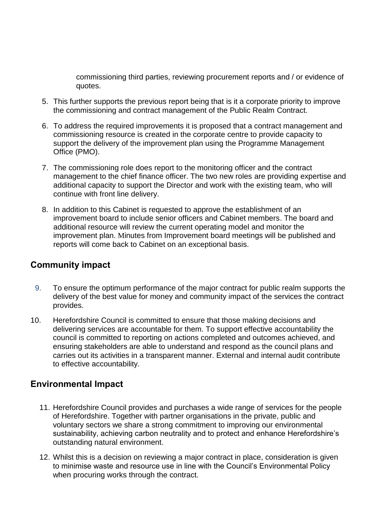commissioning third parties, reviewing procurement reports and / or evidence of quotes.

- 5. This further supports the previous report being that is it a corporate priority to improve the commissioning and contract management of the Public Realm Contract.
- 6. To address the required improvements it is proposed that a contract management and commissioning resource is created in the corporate centre to provide capacity to support the delivery of the improvement plan using the Programme Management Office (PMO).
- 7. The commissioning role does report to the monitoring officer and the contract management to the chief finance officer. The two new roles are providing expertise and additional capacity to support the Director and work with the existing team, who will continue with front line delivery.
- 8. In addition to this Cabinet is requested to approve the establishment of an improvement board to include senior officers and Cabinet members. The board and additional resource will review the current operating model and monitor the improvement plan. Minutes from Improvement board meetings will be published and reports will come back to Cabinet on an exceptional basis.

# **Community impact**

- 9. To ensure the optimum performance of the major contract for public realm supports the delivery of the best value for money and community impact of the services the contract provides.
- 10. Herefordshire Council is committed to ensure that those making decisions and delivering services are accountable for them. To support effective accountability the council is committed to reporting on actions completed and outcomes achieved, and ensuring stakeholders are able to understand and respond as the council plans and carries out its activities in a transparent manner. External and internal audit contribute to effective accountability.

# **Environmental Impact**

- 11. Herefordshire Council provides and purchases a wide range of services for the people of Herefordshire. Together with partner organisations in the private, public and voluntary sectors we share a strong commitment to improving our environmental sustainability, achieving carbon neutrality and to protect and enhance Herefordshire's outstanding natural environment.
- 12. Whilst this is a decision on reviewing a major contract in place, consideration is given to minimise waste and resource use in line with the Council's Environmental Policy when procuring works through the contract.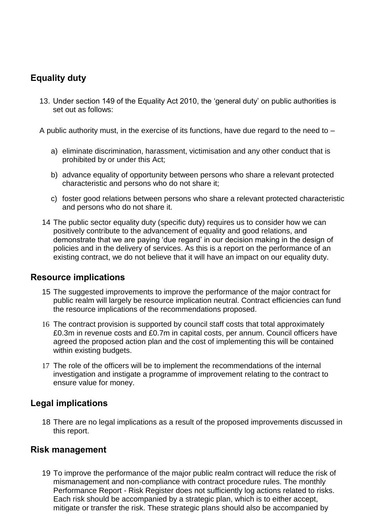# **Equality duty**

13. Under section 149 of the Equality Act 2010, the 'general duty' on public authorities is set out as follows:

A public authority must, in the exercise of its functions, have due regard to the need to –

- a) eliminate discrimination, harassment, victimisation and any other conduct that is prohibited by or under this Act;
- b) advance equality of opportunity between persons who share a relevant protected characteristic and persons who do not share it;
- c) foster good relations between persons who share a relevant protected characteristic and persons who do not share it.
- 14 The public sector equality duty (specific duty) requires us to consider how we can positively contribute to the advancement of equality and good relations, and demonstrate that we are paying 'due regard' in our decision making in the design of policies and in the delivery of services. As this is a report on the performance of an existing contract, we do not believe that it will have an impact on our equality duty.

### **Resource implications**

- 15 The suggested improvements to improve the performance of the major contract for public realm will largely be resource implication neutral. Contract efficiencies can fund the resource implications of the recommendations proposed.
- 16 The contract provision is supported by council staff costs that total approximately £0.3m in revenue costs and £0.7m in capital costs, per annum. Council officers have agreed the proposed action plan and the cost of implementing this will be contained within existing budgets.
- 17 The role of the officers will be to implement the recommendations of the internal investigation and instigate a programme of improvement relating to the contract to ensure value for money.

### **Legal implications**

18 There are no legal implications as a result of the proposed improvements discussed in this report.

### **Risk management**

19 To improve the performance of the major public realm contract will reduce the risk of mismanagement and non-compliance with contract procedure rules. The monthly Performance Report - Risk Register does not sufficiently log actions related to risks. Each risk should be accompanied by a strategic plan, which is to either accept, mitigate or transfer the risk. These strategic plans should also be accompanied by